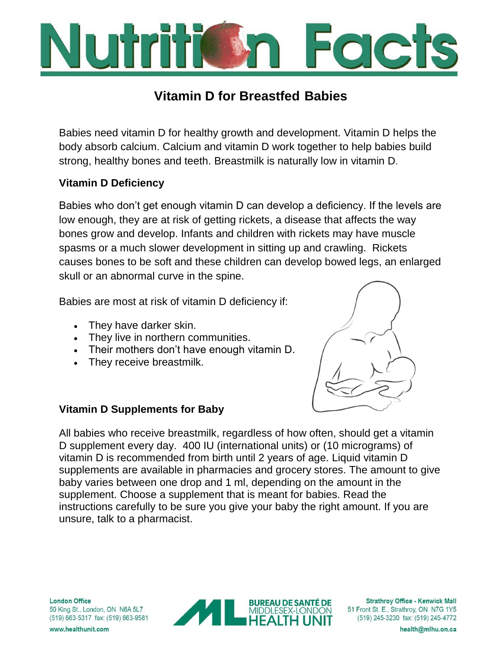

# **Vitamin D for Breastfed Babies**

Babies need vitamin D for healthy growth and development. Vitamin D helps the body absorb calcium. Calcium and vitamin D work together to help babies build strong, healthy bones and teeth. Breastmilk is naturally low in vitamin D.

## **Vitamin D Deficiency**

Babies who don't get enough vitamin D can develop a deficiency. If the levels are low enough, they are at risk of getting rickets, a disease that affects the way bones grow and develop. Infants and children with rickets may have muscle spasms or a much slower development in sitting up and crawling. Rickets causes bones to be soft and these children can develop bowed legs, an enlarged skull or an abnormal curve in the spine.

Babies are most at risk of vitamin D deficiency if:

- They have darker skin.
- They live in northern communities.
- Their mothers don't have enough vitamin D.
- They receive breastmilk.



## **Vitamin D Supplements for Baby**

All babies who receive breastmilk, regardless of how often, should get a vitamin D supplement every day. 400 IU (international units) or (10 micrograms) of vitamin D is recommended from birth until 2 years of age. Liquid vitamin D supplements are available in pharmacies and grocery stores. The amount to give baby varies between one drop and 1 ml, depending on the amount in the supplement. Choose a supplement that is meant for babies. Read the instructions carefully to be sure you give your baby the right amount. If you are unsure, talk to a pharmacist.

**London Office** 50 King St., London, ON N6A 5L7 (519) 663-5317 fax: (519) 663-9581



**Strathroy Office - Kenwick Mall** 51 Front St. E., Strathroy, ON N7G 1Y5 (519) 245-3230 fax: (519) 245-4772

www.healthunit.com